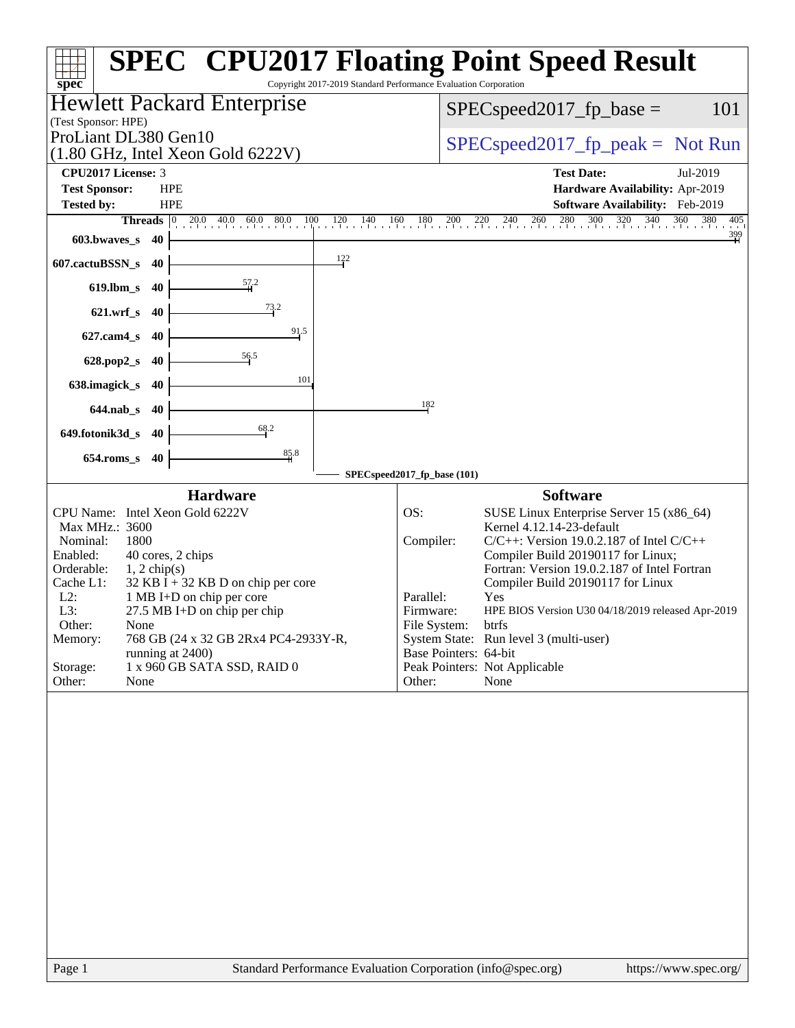| Copyright 2017-2019 Standard Performance Evaluation Corporation<br>spec <sup>®</sup>                                                                                                                                                                                                                                                                                                                                            | <b>SPEC<sup>®</sup> CPU2017 Floating Point Speed Result</b>                                                                                                                                                                                                                                                                                                                                                                                                                                                |
|---------------------------------------------------------------------------------------------------------------------------------------------------------------------------------------------------------------------------------------------------------------------------------------------------------------------------------------------------------------------------------------------------------------------------------|------------------------------------------------------------------------------------------------------------------------------------------------------------------------------------------------------------------------------------------------------------------------------------------------------------------------------------------------------------------------------------------------------------------------------------------------------------------------------------------------------------|
| Hewlett Packard Enterprise<br>(Test Sponsor: HPE)                                                                                                                                                                                                                                                                                                                                                                               | 101<br>$SPEC speed2017fp base =$                                                                                                                                                                                                                                                                                                                                                                                                                                                                           |
| ProLiant DL380 Gen10<br>$(1.80 \text{ GHz}, \text{Intel Xeon Gold } 6222 \text{V})$                                                                                                                                                                                                                                                                                                                                             | $SPEC speed2017_fp\_peak = Not Run$                                                                                                                                                                                                                                                                                                                                                                                                                                                                        |
| <b>CPU2017 License: 3</b>                                                                                                                                                                                                                                                                                                                                                                                                       | <b>Test Date:</b><br>Jul-2019                                                                                                                                                                                                                                                                                                                                                                                                                                                                              |
| <b>Test Sponsor:</b><br><b>HPE</b>                                                                                                                                                                                                                                                                                                                                                                                              | Hardware Availability: Apr-2019                                                                                                                                                                                                                                                                                                                                                                                                                                                                            |
| <b>Tested by:</b><br><b>HPE</b>                                                                                                                                                                                                                                                                                                                                                                                                 | Software Availability: Feb-2019                                                                                                                                                                                                                                                                                                                                                                                                                                                                            |
| <b>Threads</b> $\begin{bmatrix} 0 & 20.0 & 40.0 & 60.0 & 80.0 & 100 \end{bmatrix}$<br>$120 \t140 \t160 \t180$                                                                                                                                                                                                                                                                                                                   | $240$ $260$ $280$ $300$ $320$ $340$<br>$360$ $380$<br>$^{200}$<br>$^{220}$<br>405                                                                                                                                                                                                                                                                                                                                                                                                                          |
| 603.bwaves_s<br>40                                                                                                                                                                                                                                                                                                                                                                                                              | $\frac{399}{1}$                                                                                                                                                                                                                                                                                                                                                                                                                                                                                            |
| $\frac{122}{1}$<br>607.cactuBSSN_s<br>40                                                                                                                                                                                                                                                                                                                                                                                        |                                                                                                                                                                                                                                                                                                                                                                                                                                                                                                            |
| $\frac{57.2}{4}$<br>$619$ .lbm_s<br>-40                                                                                                                                                                                                                                                                                                                                                                                         |                                                                                                                                                                                                                                                                                                                                                                                                                                                                                                            |
| 73.2<br>$621.wrf$ <sub>S</sub><br>-40                                                                                                                                                                                                                                                                                                                                                                                           |                                                                                                                                                                                                                                                                                                                                                                                                                                                                                                            |
| 91.5<br>627.cam4_s<br>40                                                                                                                                                                                                                                                                                                                                                                                                        |                                                                                                                                                                                                                                                                                                                                                                                                                                                                                                            |
| $\frac{56.5}{5}$<br>628.pop2_s<br>40                                                                                                                                                                                                                                                                                                                                                                                            |                                                                                                                                                                                                                                                                                                                                                                                                                                                                                                            |
| 101<br>638.imagick_s<br>40                                                                                                                                                                                                                                                                                                                                                                                                      |                                                                                                                                                                                                                                                                                                                                                                                                                                                                                                            |
| $644$ .nab s<br>40                                                                                                                                                                                                                                                                                                                                                                                                              | 182                                                                                                                                                                                                                                                                                                                                                                                                                                                                                                        |
| 68.2<br>649.fotonik3d_s<br>40                                                                                                                                                                                                                                                                                                                                                                                                   |                                                                                                                                                                                                                                                                                                                                                                                                                                                                                                            |
| $\frac{85.8}{4}$<br>$654$ .roms_s<br>40                                                                                                                                                                                                                                                                                                                                                                                         |                                                                                                                                                                                                                                                                                                                                                                                                                                                                                                            |
|                                                                                                                                                                                                                                                                                                                                                                                                                                 | SPECspeed2017_fp_base (101)                                                                                                                                                                                                                                                                                                                                                                                                                                                                                |
| <b>Hardware</b>                                                                                                                                                                                                                                                                                                                                                                                                                 | <b>Software</b>                                                                                                                                                                                                                                                                                                                                                                                                                                                                                            |
| CPU Name: Intel Xeon Gold 6222V<br>Max MHz.: 3600<br>Nominal:<br>1800<br>Enabled:<br>40 cores, 2 chips<br>Orderable:<br>$1, 2$ chip(s)<br>Cache L1:<br>$32$ KB I + 32 KB D on chip per core<br>$L2$ :<br>1 MB I+D on chip per core<br>27.5 MB I+D on chip per chip<br>L3:<br>Other:<br>None<br>768 GB (24 x 32 GB 2Rx4 PC4-2933Y-R,<br>Memory:<br>running at 2400)<br>1 x 960 GB SATA SSD, RAID 0<br>Storage:<br>Other:<br>None | OS:<br>SUSE Linux Enterprise Server 15 (x86_64)<br>Kernel 4.12.14-23-default<br>$C/C++$ : Version 19.0.2.187 of Intel $C/C++$<br>Compiler:<br>Compiler Build 20190117 for Linux;<br>Fortran: Version 19.0.2.187 of Intel Fortran<br>Compiler Build 20190117 for Linux<br>Parallel:<br>Yes<br>HPE BIOS Version U30 04/18/2019 released Apr-2019<br>Firmware:<br>File System:<br>btrfs<br>System State: Run level 3 (multi-user)<br>Base Pointers: 64-bit<br>Peak Pointers: Not Applicable<br>Other:<br>None |
| $\mathbf{p}_{\alpha\alpha\alpha}$ 1                                                                                                                                                                                                                                                                                                                                                                                             | $Standard$ Derformance Evaluation Corporation (info@spec.org)<br>http://www.                                                                                                                                                                                                                                                                                                                                                                                                                               |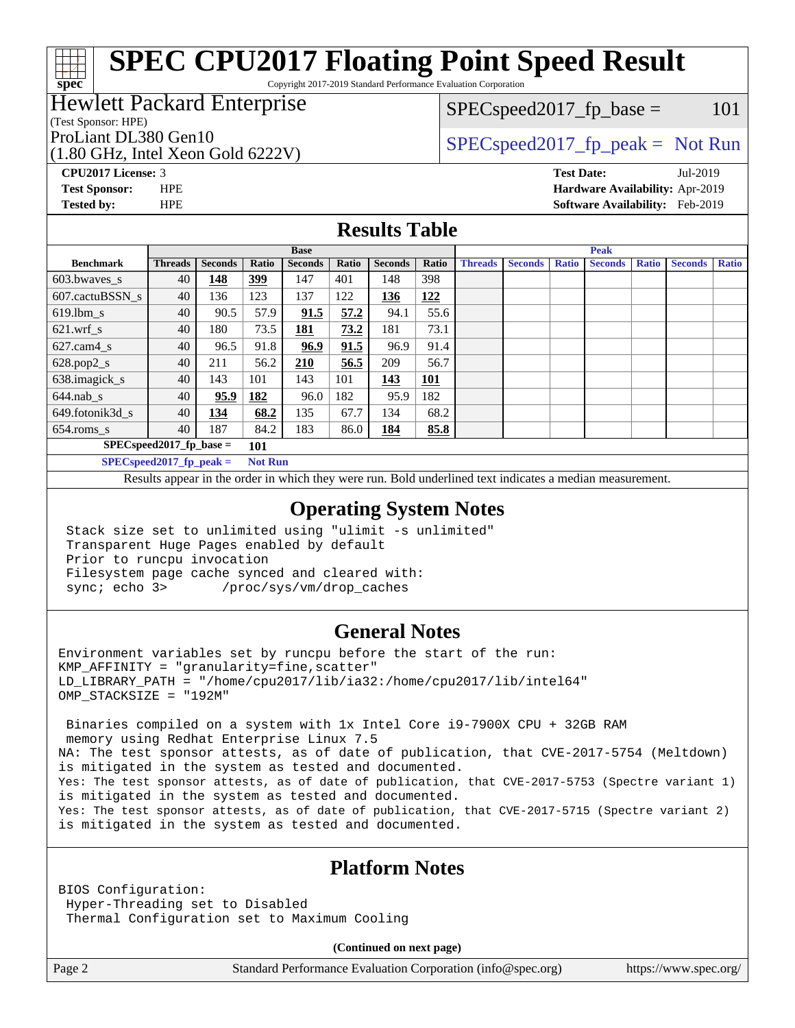# **[SPEC CPU2017 Floating Point Speed Result](http://www.spec.org/auto/cpu2017/Docs/result-fields.html#SPECCPU2017FloatingPointSpeedResult)**

Copyright 2017-2019 Standard Performance Evaluation Corporation

### Hewlett Packard Enterprise

(Test Sponsor: HPE)

**[spec](http://www.spec.org/)**

(1.80 GHz, Intel Xeon Gold 6222V)

 $SPEC speed2017_f p\_base = 101$ 

## ProLiant DL380 Gen10  $SPEC speed2017$  fp\_peak = Not Run

**[CPU2017 License:](http://www.spec.org/auto/cpu2017/Docs/result-fields.html#CPU2017License)** 3 **[Test Date:](http://www.spec.org/auto/cpu2017/Docs/result-fields.html#TestDate)** Jul-2019 **[Test Sponsor:](http://www.spec.org/auto/cpu2017/Docs/result-fields.html#TestSponsor)** HPE **[Hardware Availability:](http://www.spec.org/auto/cpu2017/Docs/result-fields.html#HardwareAvailability)** Apr-2019 **[Tested by:](http://www.spec.org/auto/cpu2017/Docs/result-fields.html#Testedby)** HPE **[Software Availability:](http://www.spec.org/auto/cpu2017/Docs/result-fields.html#SoftwareAvailability)** Feb-2019

#### **[Results Table](http://www.spec.org/auto/cpu2017/Docs/result-fields.html#ResultsTable)**

|                                    | <b>Base</b>                                                                                             |                |            |                |       | <b>Peak</b>    |            |                |                |              |                |              |                |              |
|------------------------------------|---------------------------------------------------------------------------------------------------------|----------------|------------|----------------|-------|----------------|------------|----------------|----------------|--------------|----------------|--------------|----------------|--------------|
| <b>Benchmark</b>                   | <b>Threads</b>                                                                                          | <b>Seconds</b> | Ratio      | <b>Seconds</b> | Ratio | <b>Seconds</b> | Ratio      | <b>Threads</b> | <b>Seconds</b> | <b>Ratio</b> | <b>Seconds</b> | <b>Ratio</b> | <b>Seconds</b> | <b>Ratio</b> |
| $603.bwaves$ s                     | 40                                                                                                      | 148            | <u>399</u> | 147            | 401   | 148            | 398        |                |                |              |                |              |                |              |
| 607.cactuBSSN s                    | 40                                                                                                      | 136            | 123        | 137            | 122   | 136            | <u>122</u> |                |                |              |                |              |                |              |
| $619.1$ bm s                       | 40                                                                                                      | 90.5           | 57.9       | 91.5           | 57.2  | 94.1           | 55.6       |                |                |              |                |              |                |              |
| $621$ .wrf s                       | 40                                                                                                      | 180            | 73.5       | <u> 181</u>    | 73.2  | 181            | 73.1       |                |                |              |                |              |                |              |
| $627$ .cam4 s                      | 40                                                                                                      | 96.5           | 91.8       | 96.9           | 91.5  | 96.9           | 91.4       |                |                |              |                |              |                |              |
| $628.pop2_s$                       | 40                                                                                                      | 211            | 56.2       | 210            | 56.5  | 209            | 56.7       |                |                |              |                |              |                |              |
| 638.imagick_s                      | 40                                                                                                      | 143            | 101        | 143            | 101   | 143            | <b>101</b> |                |                |              |                |              |                |              |
| $644$ .nab s                       | 40                                                                                                      | 95.9           | 182        | 96.0           | 182   | 95.9           | 182        |                |                |              |                |              |                |              |
| 649.fotonik3d s                    | 40                                                                                                      | 134            | 68.2       | 135            | 67.7  | 134            | 68.2       |                |                |              |                |              |                |              |
| $654$ .roms s                      | 40                                                                                                      | 187            | 84.2       | 183            | 86.0  | 184            | 85.8       |                |                |              |                |              |                |              |
| $SPEC speed2017_fp\_base =$<br>101 |                                                                                                         |                |            |                |       |                |            |                |                |              |                |              |                |              |
|                                    | $CDFC_{\alpha n}$ $\alpha$ $\beta$ $\gamma$ $\beta$ $\gamma$ $\beta$ $\gamma$ $\alpha$ $\beta$ $\gamma$ |                | $N \sim 1$ |                |       |                |            |                |                |              |                |              |                |              |

**[SPECspeed2017\\_fp\\_peak =](http://www.spec.org/auto/cpu2017/Docs/result-fields.html#SPECspeed2017fppeak) Not Run**

Results appear in the [order in which they were run.](http://www.spec.org/auto/cpu2017/Docs/result-fields.html#RunOrder) Bold underlined text [indicates a median measurement](http://www.spec.org/auto/cpu2017/Docs/result-fields.html#Median).

#### **[Operating System Notes](http://www.spec.org/auto/cpu2017/Docs/result-fields.html#OperatingSystemNotes)**

 Stack size set to unlimited using "ulimit -s unlimited" Transparent Huge Pages enabled by default Prior to runcpu invocation Filesystem page cache synced and cleared with: sync; echo 3> /proc/sys/vm/drop\_caches

#### **[General Notes](http://www.spec.org/auto/cpu2017/Docs/result-fields.html#GeneralNotes)**

Environment variables set by runcpu before the start of the run:  $KMP$  AFFINITY = "granularity=fine, scatter" LD\_LIBRARY\_PATH = "/home/cpu2017/lib/ia32:/home/cpu2017/lib/intel64" OMP\_STACKSIZE = "192M"

 Binaries compiled on a system with 1x Intel Core i9-7900X CPU + 32GB RAM memory using Redhat Enterprise Linux 7.5 NA: The test sponsor attests, as of date of publication, that CVE-2017-5754 (Meltdown) is mitigated in the system as tested and documented. Yes: The test sponsor attests, as of date of publication, that CVE-2017-5753 (Spectre variant 1) is mitigated in the system as tested and documented. Yes: The test sponsor attests, as of date of publication, that CVE-2017-5715 (Spectre variant 2) is mitigated in the system as tested and documented.

#### **[Platform Notes](http://www.spec.org/auto/cpu2017/Docs/result-fields.html#PlatformNotes)**

BIOS Configuration: Hyper-Threading set to Disabled Thermal Configuration set to Maximum Cooling

**(Continued on next page)**

Page 2 Standard Performance Evaluation Corporation [\(info@spec.org\)](mailto:info@spec.org) <https://www.spec.org/>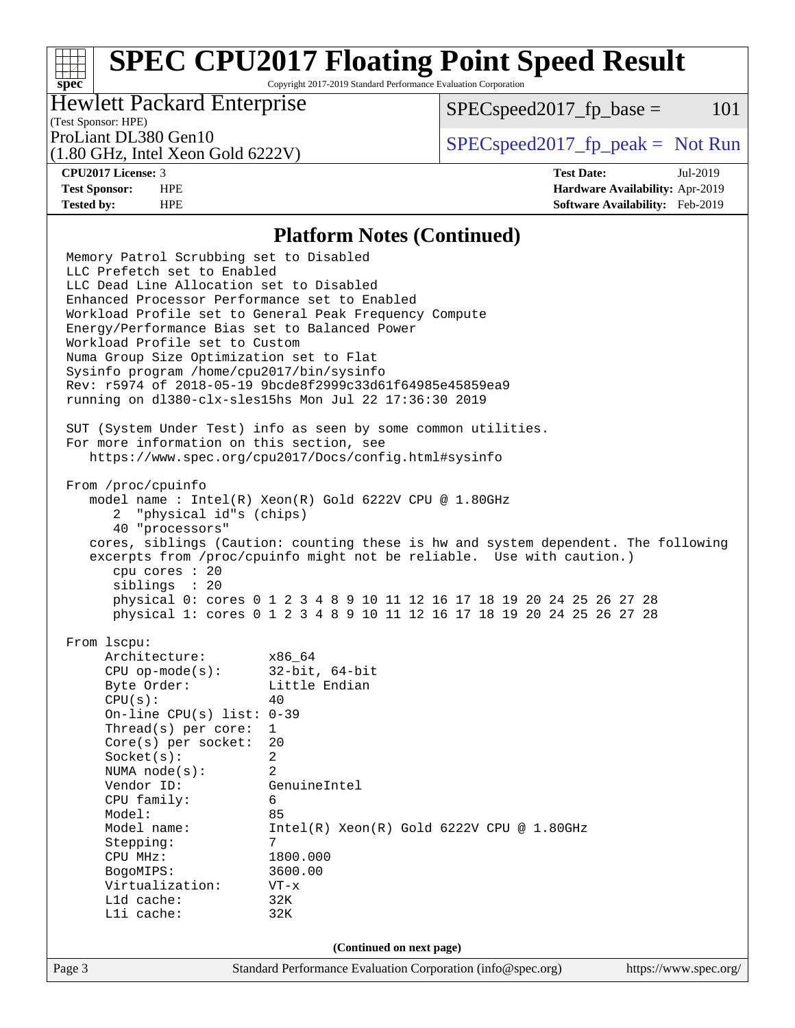# **[SPEC CPU2017 Floating Point Speed Result](http://www.spec.org/auto/cpu2017/Docs/result-fields.html#SPECCPU2017FloatingPointSpeedResult)**

Copyright 2017-2019 Standard Performance Evaluation Corporation

### Hewlett Packard Enterprise

 $SPEC speed2017<sub>fp</sub> base = 101$ 

#### (Test Sponsor: HPE)

(1.80 GHz, Intel Xeon Gold 6222V)

ProLiant DL380 Gen10  $SPEC speed2017$  [p\_peak = Not Run

**[spec](http://www.spec.org/)**

**[CPU2017 License:](http://www.spec.org/auto/cpu2017/Docs/result-fields.html#CPU2017License)** 3 **[Test Date:](http://www.spec.org/auto/cpu2017/Docs/result-fields.html#TestDate)** Jul-2019 **[Test Sponsor:](http://www.spec.org/auto/cpu2017/Docs/result-fields.html#TestSponsor)** HPE **[Hardware Availability:](http://www.spec.org/auto/cpu2017/Docs/result-fields.html#HardwareAvailability)** Apr-2019 **[Tested by:](http://www.spec.org/auto/cpu2017/Docs/result-fields.html#Testedby)** HPE **[Software Availability:](http://www.spec.org/auto/cpu2017/Docs/result-fields.html#SoftwareAvailability)** Feb-2019

#### **[Platform Notes \(Continued\)](http://www.spec.org/auto/cpu2017/Docs/result-fields.html#PlatformNotes)**

Page 3 Standard Performance Evaluation Corporation [\(info@spec.org\)](mailto:info@spec.org) <https://www.spec.org/> Memory Patrol Scrubbing set to Disabled LLC Prefetch set to Enabled LLC Dead Line Allocation set to Disabled Enhanced Processor Performance set to Enabled Workload Profile set to General Peak Frequency Compute Energy/Performance Bias set to Balanced Power Workload Profile set to Custom Numa Group Size Optimization set to Flat Sysinfo program /home/cpu2017/bin/sysinfo Rev: r5974 of 2018-05-19 9bcde8f2999c33d61f64985e45859ea9 running on dl380-clx-sles15hs Mon Jul 22 17:36:30 2019 SUT (System Under Test) info as seen by some common utilities. For more information on this section, see <https://www.spec.org/cpu2017/Docs/config.html#sysinfo> From /proc/cpuinfo model name : Intel(R) Xeon(R) Gold 6222V CPU @ 1.80GHz 2 "physical id"s (chips) 40 "processors" cores, siblings (Caution: counting these is hw and system dependent. The following excerpts from /proc/cpuinfo might not be reliable. Use with caution.) cpu cores : 20 siblings : 20 physical 0: cores 0 1 2 3 4 8 9 10 11 12 16 17 18 19 20 24 25 26 27 28 physical 1: cores 0 1 2 3 4 8 9 10 11 12 16 17 18 19 20 24 25 26 27 28 From lscpu: Architecture: x86\_64 CPU op-mode(s): 32-bit, 64-bit Byte Order: Little Endian  $CPU(s):$  40 On-line CPU(s) list: 0-39 Thread(s) per core: 1 Core(s) per socket: 20 Socket(s): 2 NUMA node(s): 2 Vendor ID: GenuineIntel CPU family: 6 Model: 85 Model name: Intel(R) Xeon(R) Gold 6222V CPU @ 1.80GHz Stepping: CPU MHz: 1800.000 BogoMIPS: 3600.00 Virtualization: VT-x L1d cache: 32K L1i cache: 32K **(Continued on next page)**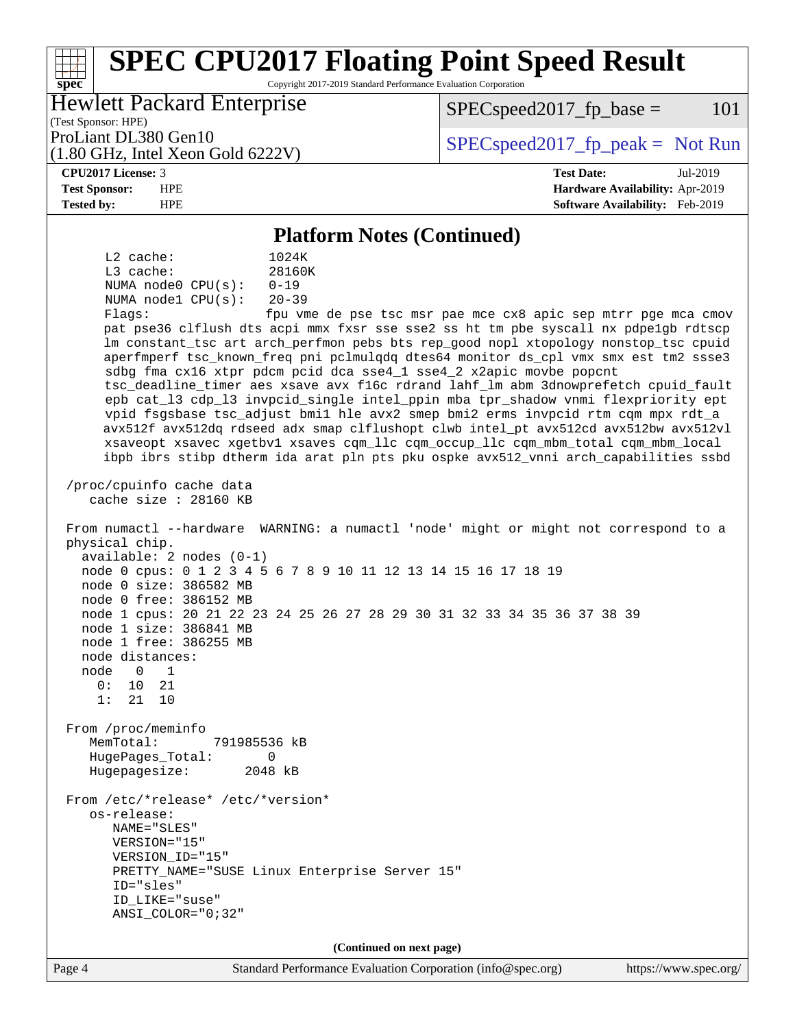#### Page 4 Standard Performance Evaluation Corporation [\(info@spec.org\)](mailto:info@spec.org) <https://www.spec.org/> **[spec](http://www.spec.org/) [SPEC CPU2017 Floating Point Speed Result](http://www.spec.org/auto/cpu2017/Docs/result-fields.html#SPECCPU2017FloatingPointSpeedResult)** Copyright 2017-2019 Standard Performance Evaluation Corporation (Test Sponsor: HPE) Hewlett Packard Enterprise (1.80 GHz, Intel Xeon Gold 6222V) ProLiant DL380 Gen10  $SPEC speed2017_f$   $p\_peak = Not Run$  $SPEC speed2017<sub>fp</sub> base = 101$ **[CPU2017 License:](http://www.spec.org/auto/cpu2017/Docs/result-fields.html#CPU2017License)** 3 **[Test Date:](http://www.spec.org/auto/cpu2017/Docs/result-fields.html#TestDate)** Jul-2019 **[Test Sponsor:](http://www.spec.org/auto/cpu2017/Docs/result-fields.html#TestSponsor)** HPE **[Hardware Availability:](http://www.spec.org/auto/cpu2017/Docs/result-fields.html#HardwareAvailability)** Apr-2019 **[Tested by:](http://www.spec.org/auto/cpu2017/Docs/result-fields.html#Testedby)** HPE **[Software Availability:](http://www.spec.org/auto/cpu2017/Docs/result-fields.html#SoftwareAvailability)** Feb-2019 **[Platform Notes \(Continued\)](http://www.spec.org/auto/cpu2017/Docs/result-fields.html#PlatformNotes)** L2 cache: 1024K L3 cache: 28160K NUMA node0 CPU(s): 0-19 NUMA node1 CPU(s): 20-39 Flags: fpu vme de pse tsc msr pae mce cx8 apic sep mtrr pge mca cmov pat pse36 clflush dts acpi mmx fxsr sse sse2 ss ht tm pbe syscall nx pdpe1gb rdtscp lm constant\_tsc art arch\_perfmon pebs bts rep\_good nopl xtopology nonstop\_tsc cpuid aperfmperf tsc\_known\_freq pni pclmulqdq dtes64 monitor ds\_cpl vmx smx est tm2 ssse3 sdbg fma cx16 xtpr pdcm pcid dca sse4\_1 sse4\_2 x2apic movbe popcnt tsc\_deadline\_timer aes xsave avx f16c rdrand lahf\_lm abm 3dnowprefetch cpuid\_fault epb cat\_l3 cdp\_l3 invpcid\_single intel\_ppin mba tpr\_shadow vnmi flexpriority ept vpid fsgsbase tsc\_adjust bmi1 hle avx2 smep bmi2 erms invpcid rtm cqm mpx rdt\_a avx512f avx512dq rdseed adx smap clflushopt clwb intel\_pt avx512cd avx512bw avx512vl xsaveopt xsavec xgetbv1 xsaves cqm\_llc cqm\_occup\_llc cqm\_mbm\_total cqm\_mbm\_local ibpb ibrs stibp dtherm ida arat pln pts pku ospke avx512\_vnni arch\_capabilities ssbd /proc/cpuinfo cache data cache size : 28160 KB From numactl --hardware WARNING: a numactl 'node' might or might not correspond to a physical chip. available: 2 nodes (0-1) node 0 cpus: 0 1 2 3 4 5 6 7 8 9 10 11 12 13 14 15 16 17 18 19 node 0 size: 386582 MB node 0 free: 386152 MB node 1 cpus: 20 21 22 23 24 25 26 27 28 29 30 31 32 33 34 35 36 37 38 39 node 1 size: 386841 MB node 1 free: 386255 MB node distances: node 0 1 0: 10 21 1: 21 10 From /proc/meminfo MemTotal: 791985536 kB HugePages\_Total: 0 Hugepagesize: 2048 kB From /etc/\*release\* /etc/\*version\* os-release: NAME="SLES" VERSION="15" VERSION\_ID="15" PRETTY\_NAME="SUSE Linux Enterprise Server 15" ID="sles" ID\_LIKE="suse" ANSI\_COLOR="0;32" **(Continued on next page)**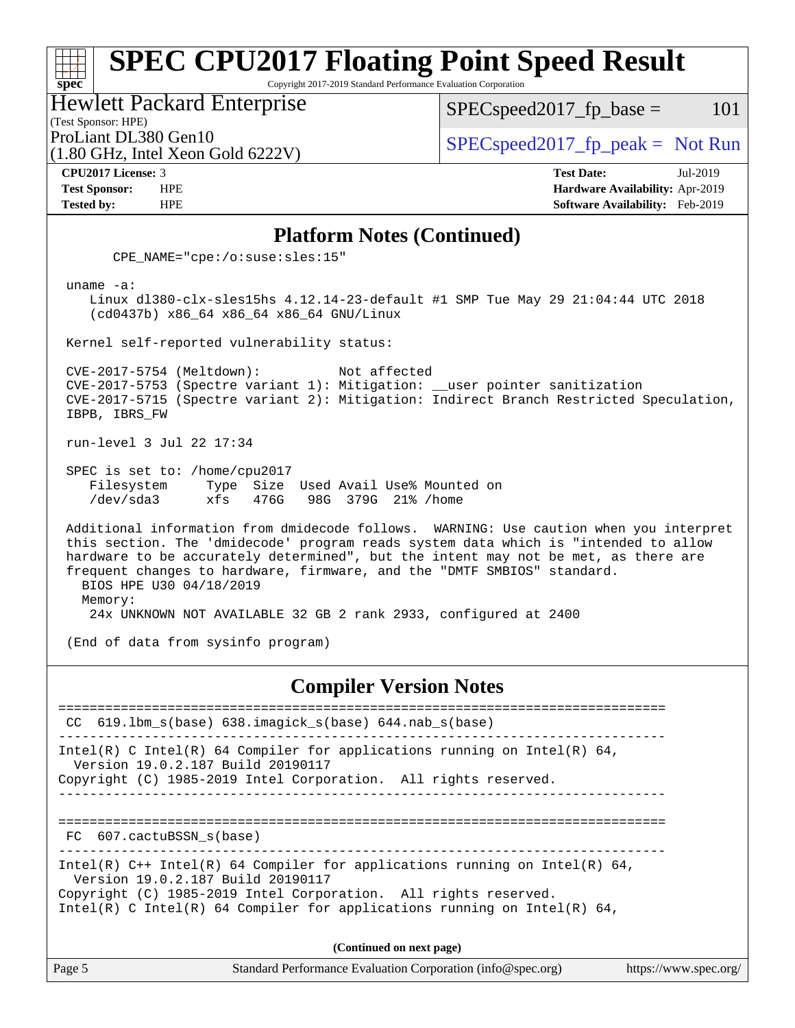#### **[spec](http://www.spec.org/) [SPEC CPU2017 Floating Point Speed Result](http://www.spec.org/auto/cpu2017/Docs/result-fields.html#SPECCPU2017FloatingPointSpeedResult)** Copyright 2017-2019 Standard Performance Evaluation Corporation (Test Sponsor: HPE) Hewlett Packard Enterprise ProLiant DL380 Gen10  $SPEC speed2017_f$   $p\_peak = Not Run$  $SPEC speed2017_fp\_base = 101$

(1.80 GHz, Intel Xeon Gold 6222V)

**[Tested by:](http://www.spec.org/auto/cpu2017/Docs/result-fields.html#Testedby)** HPE **[Software Availability:](http://www.spec.org/auto/cpu2017/Docs/result-fields.html#SoftwareAvailability)** Feb-2019

**[CPU2017 License:](http://www.spec.org/auto/cpu2017/Docs/result-fields.html#CPU2017License)** 3 **[Test Date:](http://www.spec.org/auto/cpu2017/Docs/result-fields.html#TestDate)** Jul-2019 **[Test Sponsor:](http://www.spec.org/auto/cpu2017/Docs/result-fields.html#TestSponsor)** HPE **[Hardware Availability:](http://www.spec.org/auto/cpu2017/Docs/result-fields.html#HardwareAvailability)** Apr-2019

#### **[Platform Notes \(Continued\)](http://www.spec.org/auto/cpu2017/Docs/result-fields.html#PlatformNotes)**

CPE\_NAME="cpe:/o:suse:sles:15"

uname -a:

 Linux dl380-clx-sles15hs 4.12.14-23-default #1 SMP Tue May 29 21:04:44 UTC 2018 (cd0437b) x86\_64 x86\_64 x86\_64 GNU/Linux

Kernel self-reported vulnerability status:

 CVE-2017-5754 (Meltdown): Not affected CVE-2017-5753 (Spectre variant 1): Mitigation: \_\_user pointer sanitization CVE-2017-5715 (Spectre variant 2): Mitigation: Indirect Branch Restricted Speculation, IBPB, IBRS\_FW

run-level 3 Jul 22 17:34

 SPEC is set to: /home/cpu2017 Filesystem Type Size Used Avail Use% Mounted on /dev/sda3 xfs 476G 98G 379G 21% /home

 Additional information from dmidecode follows. WARNING: Use caution when you interpret this section. The 'dmidecode' program reads system data which is "intended to allow hardware to be accurately determined", but the intent may not be met, as there are frequent changes to hardware, firmware, and the "DMTF SMBIOS" standard. BIOS HPE U30 04/18/2019 Memory:

24x UNKNOWN NOT AVAILABLE 32 GB 2 rank 2933, configured at 2400

(End of data from sysinfo program)

#### **[Compiler Version Notes](http://www.spec.org/auto/cpu2017/Docs/result-fields.html#CompilerVersionNotes)**

============================================================================== CC 619.lbm\_s(base) 638.imagick\_s(base) 644.nab\_s(base) ------------------------------------------------------------------------------ Intel(R) C Intel(R) 64 Compiler for applications running on Intel(R) 64, Version 19.0.2.187 Build 20190117 Copyright (C) 1985-2019 Intel Corporation. All rights reserved. ------------------------------------------------------------------------------ ============================================================================== FC 607.cactuBSSN\_s(base) ------------------------------------------------------------------------------ Intel(R)  $C++$  Intel(R) 64 Compiler for applications running on Intel(R) 64, Version 19.0.2.187 Build 20190117 Copyright (C) 1985-2019 Intel Corporation. All rights reserved. Intel(R) C Intel(R) 64 Compiler for applications running on Intel(R)  $64$ , **(Continued on next page)**

Page 5 Standard Performance Evaluation Corporation [\(info@spec.org\)](mailto:info@spec.org) <https://www.spec.org/>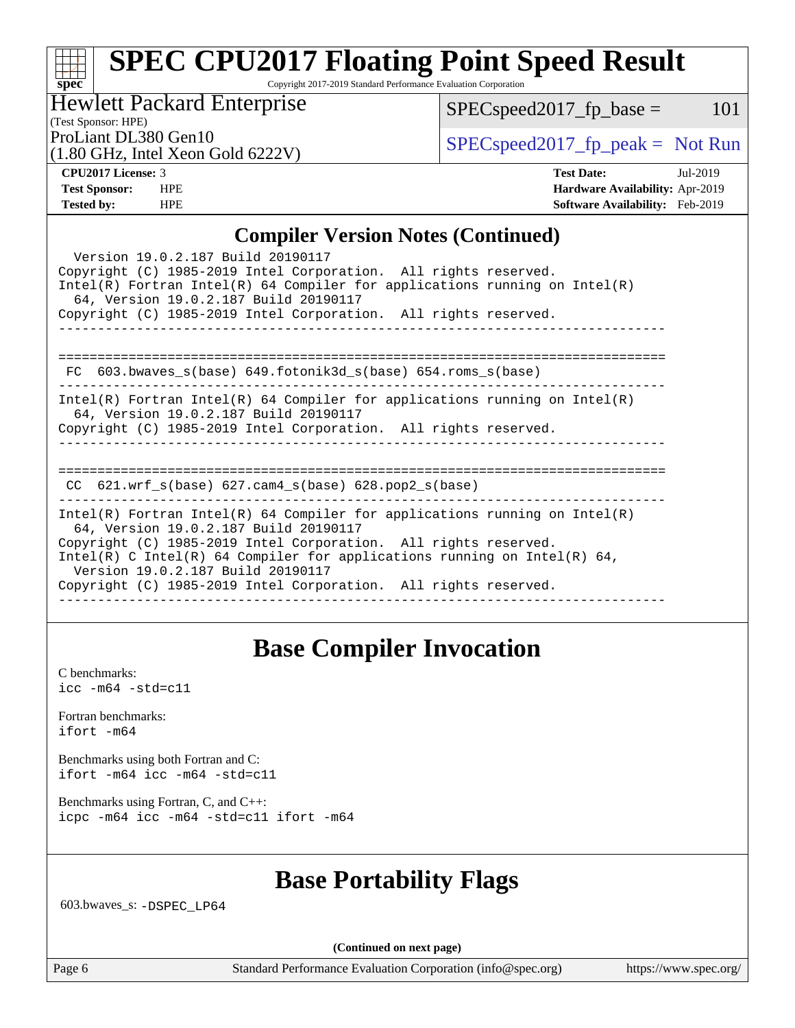#### **[spec](http://www.spec.org/) [SPEC CPU2017 Floating Point Speed Result](http://www.spec.org/auto/cpu2017/Docs/result-fields.html#SPECCPU2017FloatingPointSpeedResult)** Copyright 2017-2019 Standard Performance Evaluation Corporation

## Hewlett Packard Enterprise

 $SPEC speed2017_fp\_base = 101$ 

## (Test Sponsor: HPE)

(1.80 GHz, Intel Xeon Gold 6222V)

ProLiant DL380 Gen10<br>(1.80 GHz, Intel Yogn Gold 6222V)  $\begin{array}{c} \text{SPEC speed2017\_fp\_peak = Not Run} \end{array}$ 

**[CPU2017 License:](http://www.spec.org/auto/cpu2017/Docs/result-fields.html#CPU2017License)** 3 **[Test Date:](http://www.spec.org/auto/cpu2017/Docs/result-fields.html#TestDate)** Jul-2019 **[Test Sponsor:](http://www.spec.org/auto/cpu2017/Docs/result-fields.html#TestSponsor)** HPE **[Hardware Availability:](http://www.spec.org/auto/cpu2017/Docs/result-fields.html#HardwareAvailability)** Apr-2019 **[Tested by:](http://www.spec.org/auto/cpu2017/Docs/result-fields.html#Testedby)** HPE **[Software Availability:](http://www.spec.org/auto/cpu2017/Docs/result-fields.html#SoftwareAvailability)** Feb-2019

#### **[Compiler Version Notes \(Continued\)](http://www.spec.org/auto/cpu2017/Docs/result-fields.html#CompilerVersionNotes)**

| Version 19.0.2.187 Build 20190117<br>Copyright (C) 1985-2019 Intel Corporation. All rights reserved.<br>$Intel(R)$ Fortran Intel(R) 64 Compiler for applications running on Intel(R)<br>64, Version 19.0.2.187 Build 20190117                                                                                                                                                |  |  |  |  |  |
|------------------------------------------------------------------------------------------------------------------------------------------------------------------------------------------------------------------------------------------------------------------------------------------------------------------------------------------------------------------------------|--|--|--|--|--|
| Copyright (C) 1985-2019 Intel Corporation. All rights reserved.                                                                                                                                                                                                                                                                                                              |  |  |  |  |  |
|                                                                                                                                                                                                                                                                                                                                                                              |  |  |  |  |  |
| 603.bwaves $s(base)$ 649.fotonik3d $s(base)$ 654.roms $s(base)$<br>FC.                                                                                                                                                                                                                                                                                                       |  |  |  |  |  |
| Intel(R) Fortran Intel(R) 64 Compiler for applications running on Intel(R)<br>64, Version 19.0.2.187 Build 20190117<br>Copyright (C) 1985-2019 Intel Corporation. All rights reserved.                                                                                                                                                                                       |  |  |  |  |  |
| $621.wrf\_s(base)$ $627.cam4_s(base)$ $628.pop2_s(base)$<br>CC.                                                                                                                                                                                                                                                                                                              |  |  |  |  |  |
| $Intel(R)$ Fortran Intel(R) 64 Compiler for applications running on Intel(R)<br>64, Version 19.0.2.187 Build 20190117<br>Copyright (C) 1985-2019 Intel Corporation. All rights reserved.<br>Intel(R) C Intel(R) 64 Compiler for applications running on Intel(R) 64,<br>Version 19.0.2.187 Build 20190117<br>Copyright (C) 1985-2019 Intel Corporation. All rights reserved. |  |  |  |  |  |
|                                                                                                                                                                                                                                                                                                                                                                              |  |  |  |  |  |

## **[Base Compiler Invocation](http://www.spec.org/auto/cpu2017/Docs/result-fields.html#BaseCompilerInvocation)**

[C benchmarks](http://www.spec.org/auto/cpu2017/Docs/result-fields.html#Cbenchmarks): [icc -m64 -std=c11](http://www.spec.org/cpu2017/results/res2019q3/cpu2017-20190805-16564.flags.html#user_CCbase_intel_icc_64bit_c11_33ee0cdaae7deeeab2a9725423ba97205ce30f63b9926c2519791662299b76a0318f32ddfffdc46587804de3178b4f9328c46fa7c2b0cd779d7a61945c91cd35)

[Fortran benchmarks](http://www.spec.org/auto/cpu2017/Docs/result-fields.html#Fortranbenchmarks): [ifort -m64](http://www.spec.org/cpu2017/results/res2019q3/cpu2017-20190805-16564.flags.html#user_FCbase_intel_ifort_64bit_24f2bb282fbaeffd6157abe4f878425411749daecae9a33200eee2bee2fe76f3b89351d69a8130dd5949958ce389cf37ff59a95e7a40d588e8d3a57e0c3fd751)

[Benchmarks using both Fortran and C](http://www.spec.org/auto/cpu2017/Docs/result-fields.html#BenchmarksusingbothFortranandC): [ifort -m64](http://www.spec.org/cpu2017/results/res2019q3/cpu2017-20190805-16564.flags.html#user_CC_FCbase_intel_ifort_64bit_24f2bb282fbaeffd6157abe4f878425411749daecae9a33200eee2bee2fe76f3b89351d69a8130dd5949958ce389cf37ff59a95e7a40d588e8d3a57e0c3fd751) [icc -m64 -std=c11](http://www.spec.org/cpu2017/results/res2019q3/cpu2017-20190805-16564.flags.html#user_CC_FCbase_intel_icc_64bit_c11_33ee0cdaae7deeeab2a9725423ba97205ce30f63b9926c2519791662299b76a0318f32ddfffdc46587804de3178b4f9328c46fa7c2b0cd779d7a61945c91cd35)

[Benchmarks using Fortran, C, and C++:](http://www.spec.org/auto/cpu2017/Docs/result-fields.html#BenchmarksusingFortranCandCXX) [icpc -m64](http://www.spec.org/cpu2017/results/res2019q3/cpu2017-20190805-16564.flags.html#user_CC_CXX_FCbase_intel_icpc_64bit_4ecb2543ae3f1412ef961e0650ca070fec7b7afdcd6ed48761b84423119d1bf6bdf5cad15b44d48e7256388bc77273b966e5eb805aefd121eb22e9299b2ec9d9) [icc -m64 -std=c11](http://www.spec.org/cpu2017/results/res2019q3/cpu2017-20190805-16564.flags.html#user_CC_CXX_FCbase_intel_icc_64bit_c11_33ee0cdaae7deeeab2a9725423ba97205ce30f63b9926c2519791662299b76a0318f32ddfffdc46587804de3178b4f9328c46fa7c2b0cd779d7a61945c91cd35) [ifort -m64](http://www.spec.org/cpu2017/results/res2019q3/cpu2017-20190805-16564.flags.html#user_CC_CXX_FCbase_intel_ifort_64bit_24f2bb282fbaeffd6157abe4f878425411749daecae9a33200eee2bee2fe76f3b89351d69a8130dd5949958ce389cf37ff59a95e7a40d588e8d3a57e0c3fd751)

## **[Base Portability Flags](http://www.spec.org/auto/cpu2017/Docs/result-fields.html#BasePortabilityFlags)**

603.bwaves\_s: [-DSPEC\\_LP64](http://www.spec.org/cpu2017/results/res2019q3/cpu2017-20190805-16564.flags.html#suite_basePORTABILITY603_bwaves_s_DSPEC_LP64)

**(Continued on next page)**

Page 6 Standard Performance Evaluation Corporation [\(info@spec.org\)](mailto:info@spec.org) <https://www.spec.org/>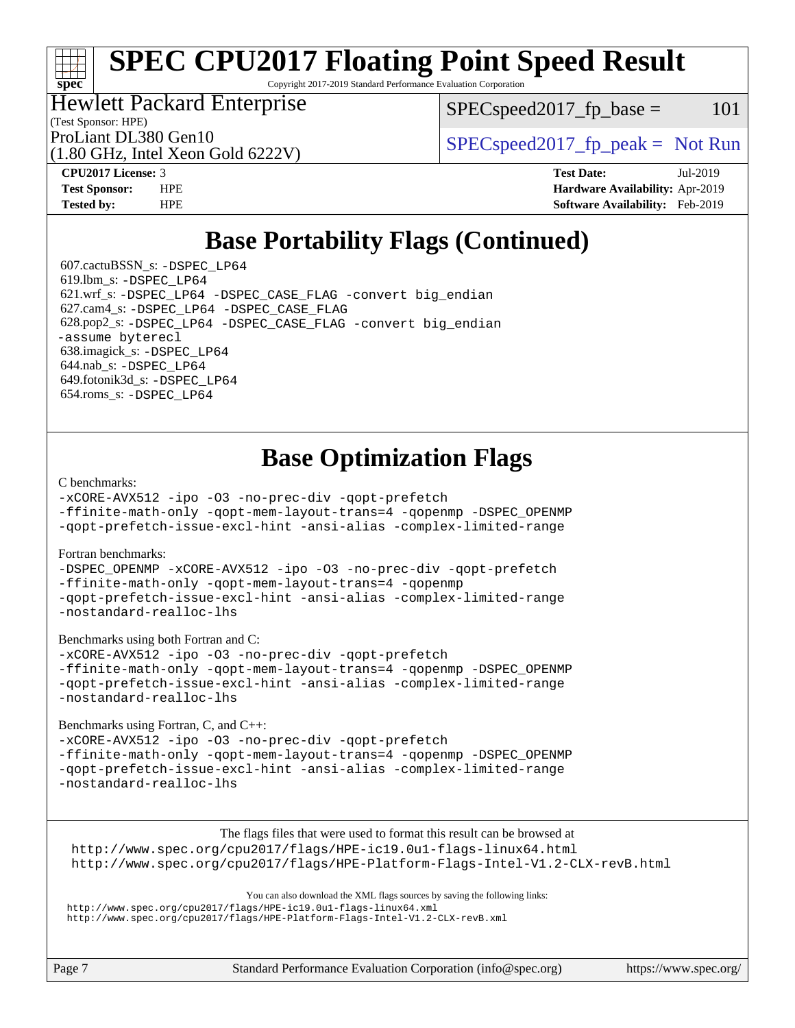# **[SPEC CPU2017 Floating Point Speed Result](http://www.spec.org/auto/cpu2017/Docs/result-fields.html#SPECCPU2017FloatingPointSpeedResult)**

Copyright 2017-2019 Standard Performance Evaluation Corporation

### Hewlett Packard Enterprise

 $SPEC speed2017<sub>fr</sub> base = 101$ 

(Test Sponsor: HPE)

(1.80 GHz, Intel Xeon Gold 6222V)

ProLiant DL380 Gen10  $SPEC speed2017$  [p\_peak = Not Run

**[spec](http://www.spec.org/)**

**[CPU2017 License:](http://www.spec.org/auto/cpu2017/Docs/result-fields.html#CPU2017License)** 3 **[Test Date:](http://www.spec.org/auto/cpu2017/Docs/result-fields.html#TestDate)** Jul-2019 **[Test Sponsor:](http://www.spec.org/auto/cpu2017/Docs/result-fields.html#TestSponsor)** HPE **[Hardware Availability:](http://www.spec.org/auto/cpu2017/Docs/result-fields.html#HardwareAvailability)** Apr-2019 **[Tested by:](http://www.spec.org/auto/cpu2017/Docs/result-fields.html#Testedby)** HPE **[Software Availability:](http://www.spec.org/auto/cpu2017/Docs/result-fields.html#SoftwareAvailability)** Feb-2019

# **[Base Portability Flags \(Continued\)](http://www.spec.org/auto/cpu2017/Docs/result-fields.html#BasePortabilityFlags)**

 607.cactuBSSN\_s: [-DSPEC\\_LP64](http://www.spec.org/cpu2017/results/res2019q3/cpu2017-20190805-16564.flags.html#suite_basePORTABILITY607_cactuBSSN_s_DSPEC_LP64) 619.lbm\_s: [-DSPEC\\_LP64](http://www.spec.org/cpu2017/results/res2019q3/cpu2017-20190805-16564.flags.html#suite_basePORTABILITY619_lbm_s_DSPEC_LP64) 621.wrf\_s: [-DSPEC\\_LP64](http://www.spec.org/cpu2017/results/res2019q3/cpu2017-20190805-16564.flags.html#suite_basePORTABILITY621_wrf_s_DSPEC_LP64) [-DSPEC\\_CASE\\_FLAG](http://www.spec.org/cpu2017/results/res2019q3/cpu2017-20190805-16564.flags.html#b621.wrf_s_baseCPORTABILITY_DSPEC_CASE_FLAG) [-convert big\\_endian](http://www.spec.org/cpu2017/results/res2019q3/cpu2017-20190805-16564.flags.html#user_baseFPORTABILITY621_wrf_s_convert_big_endian_c3194028bc08c63ac5d04de18c48ce6d347e4e562e8892b8bdbdc0214820426deb8554edfa529a3fb25a586e65a3d812c835984020483e7e73212c4d31a38223) 627.cam4\_s: [-DSPEC\\_LP64](http://www.spec.org/cpu2017/results/res2019q3/cpu2017-20190805-16564.flags.html#suite_basePORTABILITY627_cam4_s_DSPEC_LP64) [-DSPEC\\_CASE\\_FLAG](http://www.spec.org/cpu2017/results/res2019q3/cpu2017-20190805-16564.flags.html#b627.cam4_s_baseCPORTABILITY_DSPEC_CASE_FLAG) 628.pop2\_s: [-DSPEC\\_LP64](http://www.spec.org/cpu2017/results/res2019q3/cpu2017-20190805-16564.flags.html#suite_basePORTABILITY628_pop2_s_DSPEC_LP64) [-DSPEC\\_CASE\\_FLAG](http://www.spec.org/cpu2017/results/res2019q3/cpu2017-20190805-16564.flags.html#b628.pop2_s_baseCPORTABILITY_DSPEC_CASE_FLAG) [-convert big\\_endian](http://www.spec.org/cpu2017/results/res2019q3/cpu2017-20190805-16564.flags.html#user_baseFPORTABILITY628_pop2_s_convert_big_endian_c3194028bc08c63ac5d04de18c48ce6d347e4e562e8892b8bdbdc0214820426deb8554edfa529a3fb25a586e65a3d812c835984020483e7e73212c4d31a38223) [-assume byterecl](http://www.spec.org/cpu2017/results/res2019q3/cpu2017-20190805-16564.flags.html#user_baseFPORTABILITY628_pop2_s_assume_byterecl_7e47d18b9513cf18525430bbf0f2177aa9bf368bc7a059c09b2c06a34b53bd3447c950d3f8d6c70e3faf3a05c8557d66a5798b567902e8849adc142926523472) 638.imagick\_s: [-DSPEC\\_LP64](http://www.spec.org/cpu2017/results/res2019q3/cpu2017-20190805-16564.flags.html#suite_basePORTABILITY638_imagick_s_DSPEC_LP64) 644.nab\_s: [-DSPEC\\_LP64](http://www.spec.org/cpu2017/results/res2019q3/cpu2017-20190805-16564.flags.html#suite_basePORTABILITY644_nab_s_DSPEC_LP64) 649.fotonik3d\_s: [-DSPEC\\_LP64](http://www.spec.org/cpu2017/results/res2019q3/cpu2017-20190805-16564.flags.html#suite_basePORTABILITY649_fotonik3d_s_DSPEC_LP64) 654.roms\_s: [-DSPEC\\_LP64](http://www.spec.org/cpu2017/results/res2019q3/cpu2017-20190805-16564.flags.html#suite_basePORTABILITY654_roms_s_DSPEC_LP64)

# **[Base Optimization Flags](http://www.spec.org/auto/cpu2017/Docs/result-fields.html#BaseOptimizationFlags)**

#### [C benchmarks](http://www.spec.org/auto/cpu2017/Docs/result-fields.html#Cbenchmarks):

[-xCORE-AVX512](http://www.spec.org/cpu2017/results/res2019q3/cpu2017-20190805-16564.flags.html#user_CCbase_f-xCORE-AVX512) [-ipo](http://www.spec.org/cpu2017/results/res2019q3/cpu2017-20190805-16564.flags.html#user_CCbase_f-ipo) [-O3](http://www.spec.org/cpu2017/results/res2019q3/cpu2017-20190805-16564.flags.html#user_CCbase_f-O3) [-no-prec-div](http://www.spec.org/cpu2017/results/res2019q3/cpu2017-20190805-16564.flags.html#user_CCbase_f-no-prec-div) [-qopt-prefetch](http://www.spec.org/cpu2017/results/res2019q3/cpu2017-20190805-16564.flags.html#user_CCbase_f-qopt-prefetch)

[-ffinite-math-only](http://www.spec.org/cpu2017/results/res2019q3/cpu2017-20190805-16564.flags.html#user_CCbase_f_finite_math_only_cb91587bd2077682c4b38af759c288ed7c732db004271a9512da14a4f8007909a5f1427ecbf1a0fb78ff2a814402c6114ac565ca162485bbcae155b5e4258871) [-qopt-mem-layout-trans=4](http://www.spec.org/cpu2017/results/res2019q3/cpu2017-20190805-16564.flags.html#user_CCbase_f-qopt-mem-layout-trans_fa39e755916c150a61361b7846f310bcdf6f04e385ef281cadf3647acec3f0ae266d1a1d22d972a7087a248fd4e6ca390a3634700869573d231a252c784941a8) [-qopenmp](http://www.spec.org/cpu2017/results/res2019q3/cpu2017-20190805-16564.flags.html#user_CCbase_qopenmp_16be0c44f24f464004c6784a7acb94aca937f053568ce72f94b139a11c7c168634a55f6653758ddd83bcf7b8463e8028bb0b48b77bcddc6b78d5d95bb1df2967) [-DSPEC\\_OPENMP](http://www.spec.org/cpu2017/results/res2019q3/cpu2017-20190805-16564.flags.html#suite_CCbase_DSPEC_OPENMP)

[-qopt-prefetch-issue-excl-hint](http://www.spec.org/cpu2017/results/res2019q3/cpu2017-20190805-16564.flags.html#user_CCbase_f-qopt-prefetch-issue-excl-hint) [-ansi-alias](http://www.spec.org/cpu2017/results/res2019q3/cpu2017-20190805-16564.flags.html#user_CCbase_f-ansi-alias) [-complex-limited-range](http://www.spec.org/cpu2017/results/res2019q3/cpu2017-20190805-16564.flags.html#user_CCbase_f-complex-limited-range)

#### [Fortran benchmarks](http://www.spec.org/auto/cpu2017/Docs/result-fields.html#Fortranbenchmarks):

[-DSPEC\\_OPENMP](http://www.spec.org/cpu2017/results/res2019q3/cpu2017-20190805-16564.flags.html#suite_FCbase_DSPEC_OPENMP) [-xCORE-AVX512](http://www.spec.org/cpu2017/results/res2019q3/cpu2017-20190805-16564.flags.html#user_FCbase_f-xCORE-AVX512) [-ipo](http://www.spec.org/cpu2017/results/res2019q3/cpu2017-20190805-16564.flags.html#user_FCbase_f-ipo) [-O3](http://www.spec.org/cpu2017/results/res2019q3/cpu2017-20190805-16564.flags.html#user_FCbase_f-O3) [-no-prec-div](http://www.spec.org/cpu2017/results/res2019q3/cpu2017-20190805-16564.flags.html#user_FCbase_f-no-prec-div) [-qopt-prefetch](http://www.spec.org/cpu2017/results/res2019q3/cpu2017-20190805-16564.flags.html#user_FCbase_f-qopt-prefetch) [-ffinite-math-only](http://www.spec.org/cpu2017/results/res2019q3/cpu2017-20190805-16564.flags.html#user_FCbase_f_finite_math_only_cb91587bd2077682c4b38af759c288ed7c732db004271a9512da14a4f8007909a5f1427ecbf1a0fb78ff2a814402c6114ac565ca162485bbcae155b5e4258871) [-qopt-mem-layout-trans=4](http://www.spec.org/cpu2017/results/res2019q3/cpu2017-20190805-16564.flags.html#user_FCbase_f-qopt-mem-layout-trans_fa39e755916c150a61361b7846f310bcdf6f04e385ef281cadf3647acec3f0ae266d1a1d22d972a7087a248fd4e6ca390a3634700869573d231a252c784941a8) [-qopenmp](http://www.spec.org/cpu2017/results/res2019q3/cpu2017-20190805-16564.flags.html#user_FCbase_qopenmp_16be0c44f24f464004c6784a7acb94aca937f053568ce72f94b139a11c7c168634a55f6653758ddd83bcf7b8463e8028bb0b48b77bcddc6b78d5d95bb1df2967) [-qopt-prefetch-issue-excl-hint](http://www.spec.org/cpu2017/results/res2019q3/cpu2017-20190805-16564.flags.html#user_FCbase_f-qopt-prefetch-issue-excl-hint) [-ansi-alias](http://www.spec.org/cpu2017/results/res2019q3/cpu2017-20190805-16564.flags.html#user_FCbase_f-ansi-alias) [-complex-limited-range](http://www.spec.org/cpu2017/results/res2019q3/cpu2017-20190805-16564.flags.html#user_FCbase_f-complex-limited-range) [-nostandard-realloc-lhs](http://www.spec.org/cpu2017/results/res2019q3/cpu2017-20190805-16564.flags.html#user_FCbase_f_2003_std_realloc_82b4557e90729c0f113870c07e44d33d6f5a304b4f63d4c15d2d0f1fab99f5daaed73bdb9275d9ae411527f28b936061aa8b9c8f2d63842963b95c9dd6426b8a)

[Benchmarks using both Fortran and C](http://www.spec.org/auto/cpu2017/Docs/result-fields.html#BenchmarksusingbothFortranandC):

[-xCORE-AVX512](http://www.spec.org/cpu2017/results/res2019q3/cpu2017-20190805-16564.flags.html#user_CC_FCbase_f-xCORE-AVX512) [-ipo](http://www.spec.org/cpu2017/results/res2019q3/cpu2017-20190805-16564.flags.html#user_CC_FCbase_f-ipo) [-O3](http://www.spec.org/cpu2017/results/res2019q3/cpu2017-20190805-16564.flags.html#user_CC_FCbase_f-O3) [-no-prec-div](http://www.spec.org/cpu2017/results/res2019q3/cpu2017-20190805-16564.flags.html#user_CC_FCbase_f-no-prec-div) [-qopt-prefetch](http://www.spec.org/cpu2017/results/res2019q3/cpu2017-20190805-16564.flags.html#user_CC_FCbase_f-qopt-prefetch) [-ffinite-math-only](http://www.spec.org/cpu2017/results/res2019q3/cpu2017-20190805-16564.flags.html#user_CC_FCbase_f_finite_math_only_cb91587bd2077682c4b38af759c288ed7c732db004271a9512da14a4f8007909a5f1427ecbf1a0fb78ff2a814402c6114ac565ca162485bbcae155b5e4258871) [-qopt-mem-layout-trans=4](http://www.spec.org/cpu2017/results/res2019q3/cpu2017-20190805-16564.flags.html#user_CC_FCbase_f-qopt-mem-layout-trans_fa39e755916c150a61361b7846f310bcdf6f04e385ef281cadf3647acec3f0ae266d1a1d22d972a7087a248fd4e6ca390a3634700869573d231a252c784941a8) [-qopenmp](http://www.spec.org/cpu2017/results/res2019q3/cpu2017-20190805-16564.flags.html#user_CC_FCbase_qopenmp_16be0c44f24f464004c6784a7acb94aca937f053568ce72f94b139a11c7c168634a55f6653758ddd83bcf7b8463e8028bb0b48b77bcddc6b78d5d95bb1df2967) [-DSPEC\\_OPENMP](http://www.spec.org/cpu2017/results/res2019q3/cpu2017-20190805-16564.flags.html#suite_CC_FCbase_DSPEC_OPENMP) [-qopt-prefetch-issue-excl-hint](http://www.spec.org/cpu2017/results/res2019q3/cpu2017-20190805-16564.flags.html#user_CC_FCbase_f-qopt-prefetch-issue-excl-hint) [-ansi-alias](http://www.spec.org/cpu2017/results/res2019q3/cpu2017-20190805-16564.flags.html#user_CC_FCbase_f-ansi-alias) [-complex-limited-range](http://www.spec.org/cpu2017/results/res2019q3/cpu2017-20190805-16564.flags.html#user_CC_FCbase_f-complex-limited-range) [-nostandard-realloc-lhs](http://www.spec.org/cpu2017/results/res2019q3/cpu2017-20190805-16564.flags.html#user_CC_FCbase_f_2003_std_realloc_82b4557e90729c0f113870c07e44d33d6f5a304b4f63d4c15d2d0f1fab99f5daaed73bdb9275d9ae411527f28b936061aa8b9c8f2d63842963b95c9dd6426b8a)

[Benchmarks using Fortran, C, and C++:](http://www.spec.org/auto/cpu2017/Docs/result-fields.html#BenchmarksusingFortranCandCXX)

[-xCORE-AVX512](http://www.spec.org/cpu2017/results/res2019q3/cpu2017-20190805-16564.flags.html#user_CC_CXX_FCbase_f-xCORE-AVX512) [-ipo](http://www.spec.org/cpu2017/results/res2019q3/cpu2017-20190805-16564.flags.html#user_CC_CXX_FCbase_f-ipo) [-O3](http://www.spec.org/cpu2017/results/res2019q3/cpu2017-20190805-16564.flags.html#user_CC_CXX_FCbase_f-O3) [-no-prec-div](http://www.spec.org/cpu2017/results/res2019q3/cpu2017-20190805-16564.flags.html#user_CC_CXX_FCbase_f-no-prec-div) [-qopt-prefetch](http://www.spec.org/cpu2017/results/res2019q3/cpu2017-20190805-16564.flags.html#user_CC_CXX_FCbase_f-qopt-prefetch) [-ffinite-math-only](http://www.spec.org/cpu2017/results/res2019q3/cpu2017-20190805-16564.flags.html#user_CC_CXX_FCbase_f_finite_math_only_cb91587bd2077682c4b38af759c288ed7c732db004271a9512da14a4f8007909a5f1427ecbf1a0fb78ff2a814402c6114ac565ca162485bbcae155b5e4258871) [-qopt-mem-layout-trans=4](http://www.spec.org/cpu2017/results/res2019q3/cpu2017-20190805-16564.flags.html#user_CC_CXX_FCbase_f-qopt-mem-layout-trans_fa39e755916c150a61361b7846f310bcdf6f04e385ef281cadf3647acec3f0ae266d1a1d22d972a7087a248fd4e6ca390a3634700869573d231a252c784941a8) [-qopenmp](http://www.spec.org/cpu2017/results/res2019q3/cpu2017-20190805-16564.flags.html#user_CC_CXX_FCbase_qopenmp_16be0c44f24f464004c6784a7acb94aca937f053568ce72f94b139a11c7c168634a55f6653758ddd83bcf7b8463e8028bb0b48b77bcddc6b78d5d95bb1df2967) [-DSPEC\\_OPENMP](http://www.spec.org/cpu2017/results/res2019q3/cpu2017-20190805-16564.flags.html#suite_CC_CXX_FCbase_DSPEC_OPENMP) [-qopt-prefetch-issue-excl-hint](http://www.spec.org/cpu2017/results/res2019q3/cpu2017-20190805-16564.flags.html#user_CC_CXX_FCbase_f-qopt-prefetch-issue-excl-hint) [-ansi-alias](http://www.spec.org/cpu2017/results/res2019q3/cpu2017-20190805-16564.flags.html#user_CC_CXX_FCbase_f-ansi-alias) [-complex-limited-range](http://www.spec.org/cpu2017/results/res2019q3/cpu2017-20190805-16564.flags.html#user_CC_CXX_FCbase_f-complex-limited-range) [-nostandard-realloc-lhs](http://www.spec.org/cpu2017/results/res2019q3/cpu2017-20190805-16564.flags.html#user_CC_CXX_FCbase_f_2003_std_realloc_82b4557e90729c0f113870c07e44d33d6f5a304b4f63d4c15d2d0f1fab99f5daaed73bdb9275d9ae411527f28b936061aa8b9c8f2d63842963b95c9dd6426b8a)

The flags files that were used to format this result can be browsed at <http://www.spec.org/cpu2017/flags/HPE-ic19.0u1-flags-linux64.html> <http://www.spec.org/cpu2017/flags/HPE-Platform-Flags-Intel-V1.2-CLX-revB.html>

You can also download the XML flags sources by saving the following links: <http://www.spec.org/cpu2017/flags/HPE-ic19.0u1-flags-linux64.xml> <http://www.spec.org/cpu2017/flags/HPE-Platform-Flags-Intel-V1.2-CLX-revB.xml>